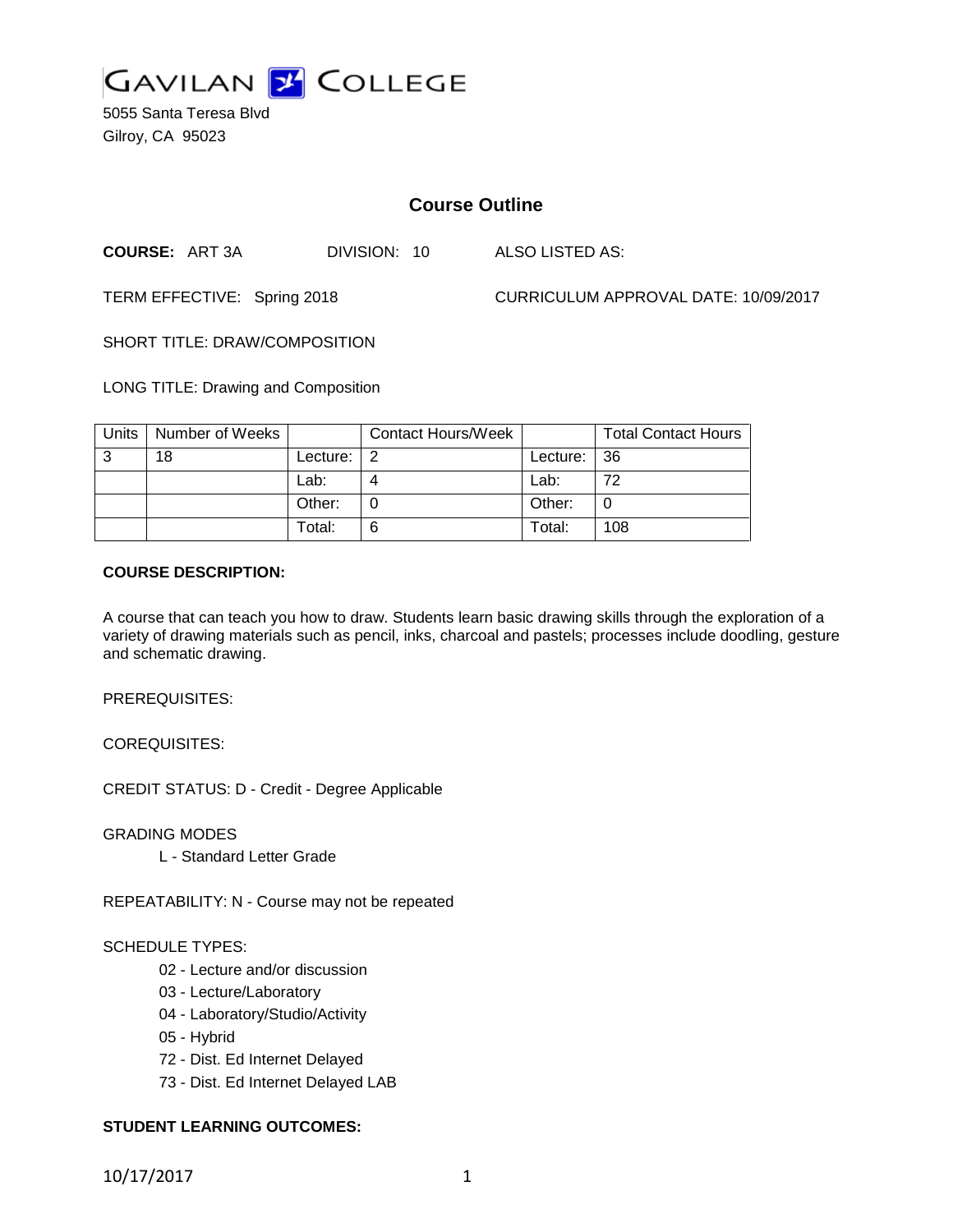

5055 Santa Teresa Blvd Gilroy, CA 95023

# **Course Outline**

**COURSE:** ART 3A DIVISION: 10 ALSO LISTED AS:

TERM EFFECTIVE: Spring 2018 CURRICULUM APPROVAL DATE: 10/09/2017

SHORT TITLE: DRAW/COMPOSITION

LONG TITLE: Drawing and Composition

| Units | Number of Weeks |          | <b>Contact Hours/Week</b> |             | <b>Total Contact Hours</b> |
|-------|-----------------|----------|---------------------------|-------------|----------------------------|
| 3     | 18              | Lecture: |                           | Lecture: 36 |                            |
|       |                 | Lab:     |                           | Lab:        | 72                         |
|       |                 | Other:   |                           | Other:      |                            |
|       |                 | Total:   | 6                         | Total:      | 108                        |

#### **COURSE DESCRIPTION:**

A course that can teach you how to draw. Students learn basic drawing skills through the exploration of a variety of drawing materials such as pencil, inks, charcoal and pastels; processes include doodling, gesture and schematic drawing.

PREREQUISITES:

COREQUISITES:

CREDIT STATUS: D - Credit - Degree Applicable

GRADING MODES

L - Standard Letter Grade

REPEATABILITY: N - Course may not be repeated

#### SCHEDULE TYPES:

- 02 Lecture and/or discussion
- 03 Lecture/Laboratory
- 04 Laboratory/Studio/Activity
- 05 Hybrid
- 72 Dist. Ed Internet Delayed
- 73 Dist. Ed Internet Delayed LAB

## **STUDENT LEARNING OUTCOMES:**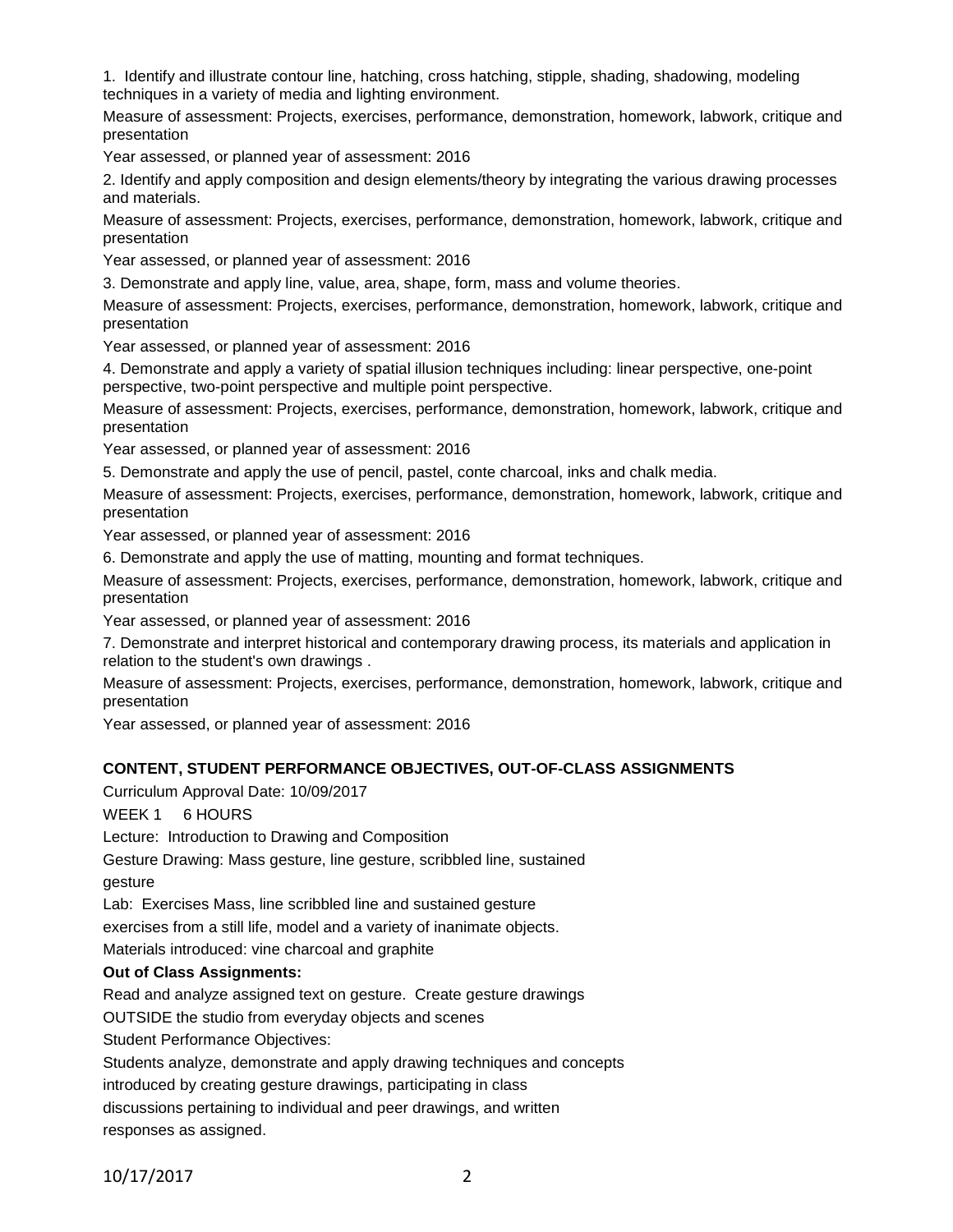1. Identify and illustrate contour line, hatching, cross hatching, stipple, shading, shadowing, modeling techniques in a variety of media and lighting environment.

Measure of assessment: Projects, exercises, performance, demonstration, homework, labwork, critique and presentation

Year assessed, or planned year of assessment: 2016

2. Identify and apply composition and design elements/theory by integrating the various drawing processes and materials.

Measure of assessment: Projects, exercises, performance, demonstration, homework, labwork, critique and presentation

Year assessed, or planned year of assessment: 2016

3. Demonstrate and apply line, value, area, shape, form, mass and volume theories.

Measure of assessment: Projects, exercises, performance, demonstration, homework, labwork, critique and presentation

Year assessed, or planned year of assessment: 2016

4. Demonstrate and apply a variety of spatial illusion techniques including: linear perspective, one-point perspective, two-point perspective and multiple point perspective.

Measure of assessment: Projects, exercises, performance, demonstration, homework, labwork, critique and presentation

Year assessed, or planned year of assessment: 2016

5. Demonstrate and apply the use of pencil, pastel, conte charcoal, inks and chalk media.

Measure of assessment: Projects, exercises, performance, demonstration, homework, labwork, critique and presentation

Year assessed, or planned year of assessment: 2016

6. Demonstrate and apply the use of matting, mounting and format techniques.

Measure of assessment: Projects, exercises, performance, demonstration, homework, labwork, critique and presentation

Year assessed, or planned year of assessment: 2016

7. Demonstrate and interpret historical and contemporary drawing process, its materials and application in relation to the student's own drawings .

Measure of assessment: Projects, exercises, performance, demonstration, homework, labwork, critique and presentation

Year assessed, or planned year of assessment: 2016

## **CONTENT, STUDENT PERFORMANCE OBJECTIVES, OUT-OF-CLASS ASSIGNMENTS**

Curriculum Approval Date: 10/09/2017

WEEK 1 6 HOURS

Lecture: Introduction to Drawing and Composition

Gesture Drawing: Mass gesture, line gesture, scribbled line, sustained

gesture

Lab: Exercises Mass, line scribbled line and sustained gesture

exercises from a still life, model and a variety of inanimate objects.

Materials introduced: vine charcoal and graphite

## **Out of Class Assignments:**

Read and analyze assigned text on gesture. Create gesture drawings

OUTSIDE the studio from everyday objects and scenes

Student Performance Objectives:

Students analyze, demonstrate and apply drawing techniques and concepts

introduced by creating gesture drawings, participating in class

discussions pertaining to individual and peer drawings, and written

responses as assigned.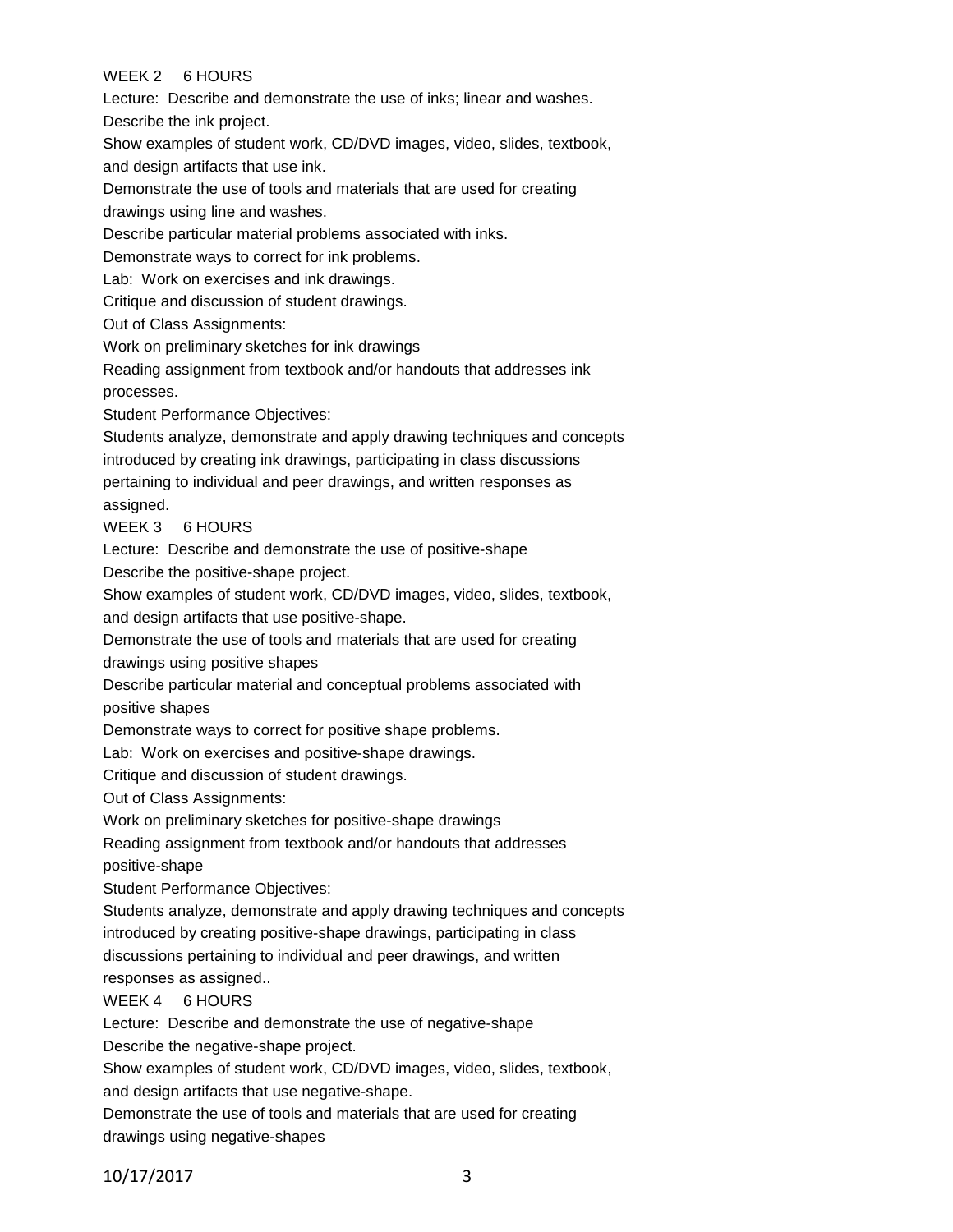## WEEK 2 6 HOURS

Lecture: Describe and demonstrate the use of inks; linear and washes.

Describe the ink project.

Show examples of student work, CD/DVD images, video, slides, textbook, and design artifacts that use ink.

Demonstrate the use of tools and materials that are used for creating drawings using line and washes.

Describe particular material problems associated with inks.

Demonstrate ways to correct for ink problems.

Lab: Work on exercises and ink drawings.

Critique and discussion of student drawings.

Out of Class Assignments:

Work on preliminary sketches for ink drawings

Reading assignment from textbook and/or handouts that addresses ink processes.

Student Performance Objectives:

Students analyze, demonstrate and apply drawing techniques and concepts introduced by creating ink drawings, participating in class discussions pertaining to individual and peer drawings, and written responses as assigned.

WEEK 3 6 HOURS

Lecture: Describe and demonstrate the use of positive-shape

Describe the positive-shape project.

Show examples of student work, CD/DVD images, video, slides, textbook,

and design artifacts that use positive-shape.

Demonstrate the use of tools and materials that are used for creating

drawings using positive shapes

Describe particular material and conceptual problems associated with positive shapes

Demonstrate ways to correct for positive shape problems.

Lab: Work on exercises and positive-shape drawings.

Critique and discussion of student drawings.

Out of Class Assignments:

Work on preliminary sketches for positive-shape drawings

Reading assignment from textbook and/or handouts that addresses

positive-shape

Student Performance Objectives:

Students analyze, demonstrate and apply drawing techniques and concepts

introduced by creating positive-shape drawings, participating in class

discussions pertaining to individual and peer drawings, and written responses as assigned..

# WEEK 4 6 HOURS

Lecture: Describe and demonstrate the use of negative-shape

Describe the negative-shape project.

Show examples of student work, CD/DVD images, video, slides, textbook,

and design artifacts that use negative-shape.

Demonstrate the use of tools and materials that are used for creating

drawings using negative-shapes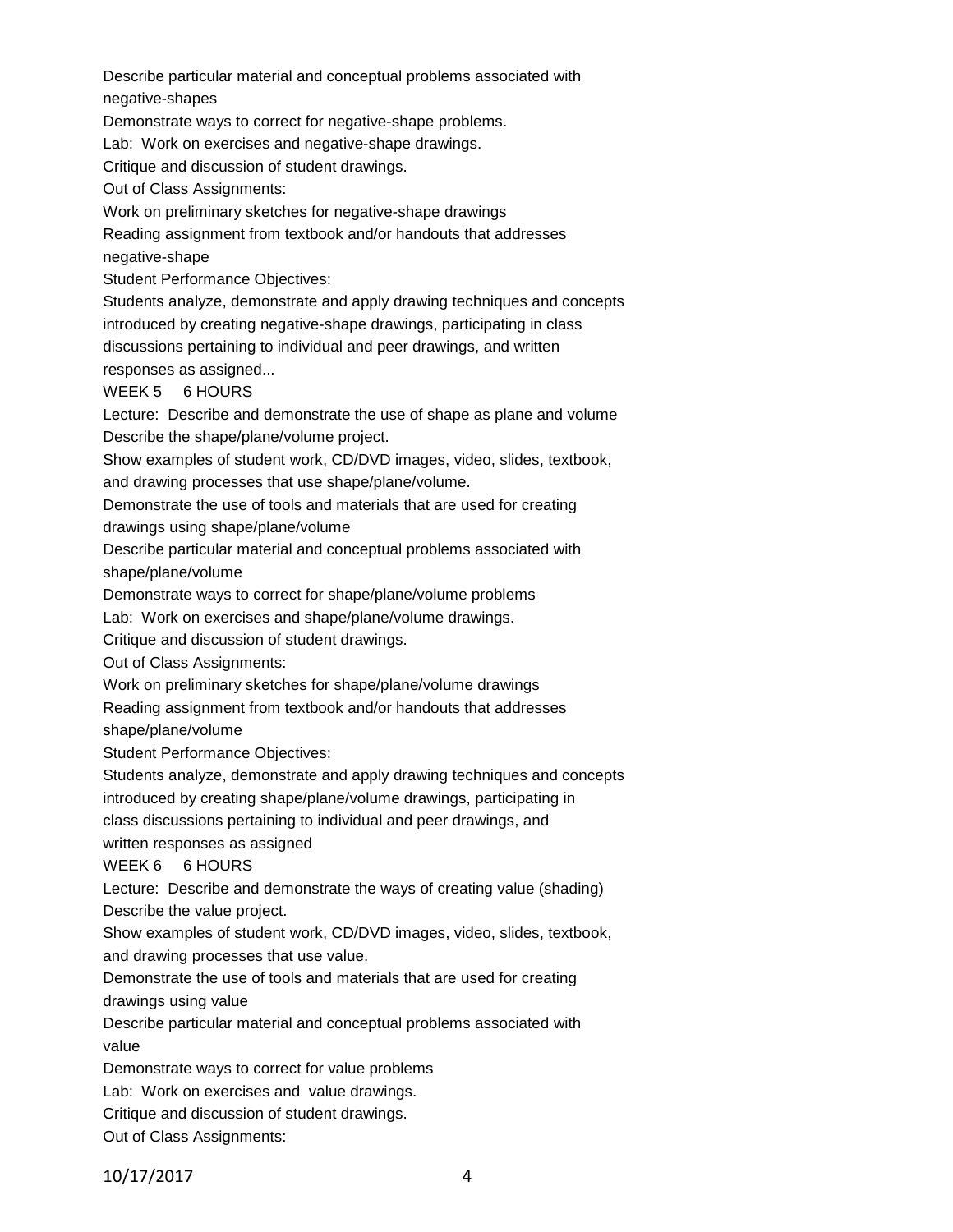Describe particular material and conceptual problems associated with negative-shapes

Demonstrate ways to correct for negative-shape problems.

Lab: Work on exercises and negative-shape drawings.

Critique and discussion of student drawings.

Out of Class Assignments:

Work on preliminary sketches for negative-shape drawings

Reading assignment from textbook and/or handouts that addresses

negative-shape

Student Performance Objectives:

Students analyze, demonstrate and apply drawing techniques and concepts introduced by creating negative-shape drawings, participating in class discussions pertaining to individual and peer drawings, and written

responses as assigned...

WEEK 5 6 HOURS

Lecture: Describe and demonstrate the use of shape as plane and volume Describe the shape/plane/volume project.

Show examples of student work, CD/DVD images, video, slides, textbook, and drawing processes that use shape/plane/volume.

Demonstrate the use of tools and materials that are used for creating

drawings using shape/plane/volume

Describe particular material and conceptual problems associated with shape/plane/volume

Demonstrate ways to correct for shape/plane/volume problems

Lab: Work on exercises and shape/plane/volume drawings.

Critique and discussion of student drawings.

Out of Class Assignments:

Work on preliminary sketches for shape/plane/volume drawings

Reading assignment from textbook and/or handouts that addresses

shape/plane/volume

Student Performance Objectives:

Students analyze, demonstrate and apply drawing techniques and concepts

introduced by creating shape/plane/volume drawings, participating in

class discussions pertaining to individual and peer drawings, and

written responses as assigned

WEEK 6 6 HOURS

Lecture: Describe and demonstrate the ways of creating value (shading) Describe the value project.

Show examples of student work, CD/DVD images, video, slides, textbook, and drawing processes that use value.

Demonstrate the use of tools and materials that are used for creating

drawings using value

Describe particular material and conceptual problems associated with value

Demonstrate ways to correct for value problems

Lab: Work on exercises and value drawings.

Critique and discussion of student drawings.

Out of Class Assignments: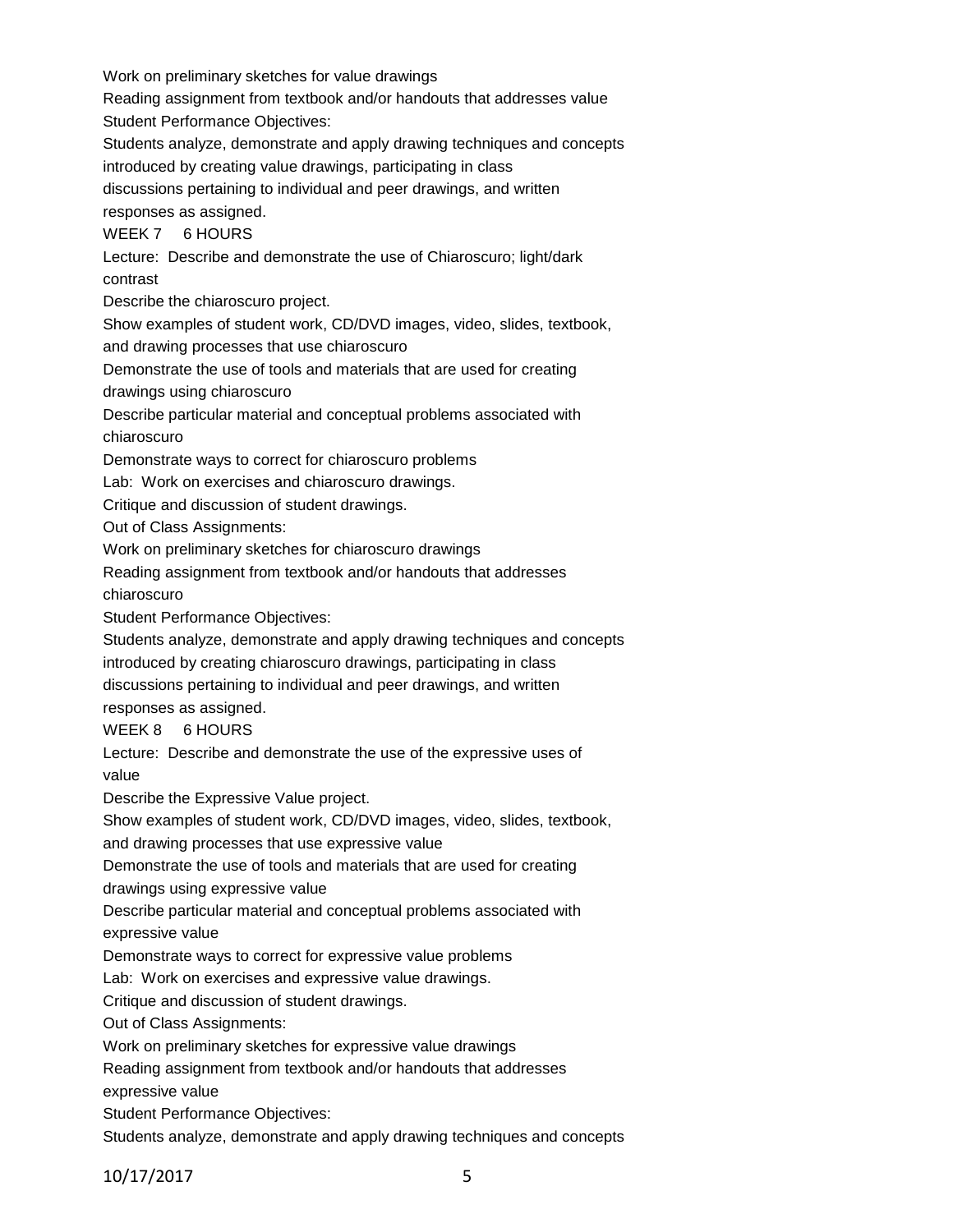Work on preliminary sketches for value drawings Reading assignment from textbook and/or handouts that addresses value Student Performance Objectives: Students analyze, demonstrate and apply drawing techniques and concepts introduced by creating value drawings, participating in class discussions pertaining to individual and peer drawings, and written responses as assigned. WEEK 7 6 HOURS Lecture: Describe and demonstrate the use of Chiaroscuro; light/dark contrast Describe the chiaroscuro project. Show examples of student work, CD/DVD images, video, slides, textbook, and drawing processes that use chiaroscuro Demonstrate the use of tools and materials that are used for creating drawings using chiaroscuro Describe particular material and conceptual problems associated with chiaroscuro Demonstrate ways to correct for chiaroscuro problems Lab: Work on exercises and chiaroscuro drawings. Critique and discussion of student drawings. Out of Class Assignments: Work on preliminary sketches for chiaroscuro drawings Reading assignment from textbook and/or handouts that addresses chiaroscuro Student Performance Objectives: Students analyze, demonstrate and apply drawing techniques and concepts introduced by creating chiaroscuro drawings, participating in class discussions pertaining to individual and peer drawings, and written responses as assigned. WEEK 8 6 HOURS Lecture: Describe and demonstrate the use of the expressive uses of value Describe the Expressive Value project. Show examples of student work, CD/DVD images, video, slides, textbook, and drawing processes that use expressive value Demonstrate the use of tools and materials that are used for creating drawings using expressive value Describe particular material and conceptual problems associated with expressive value Demonstrate ways to correct for expressive value problems Lab: Work on exercises and expressive value drawings. Critique and discussion of student drawings. Out of Class Assignments: Work on preliminary sketches for expressive value drawings Reading assignment from textbook and/or handouts that addresses expressive value Student Performance Objectives: Students analyze, demonstrate and apply drawing techniques and concepts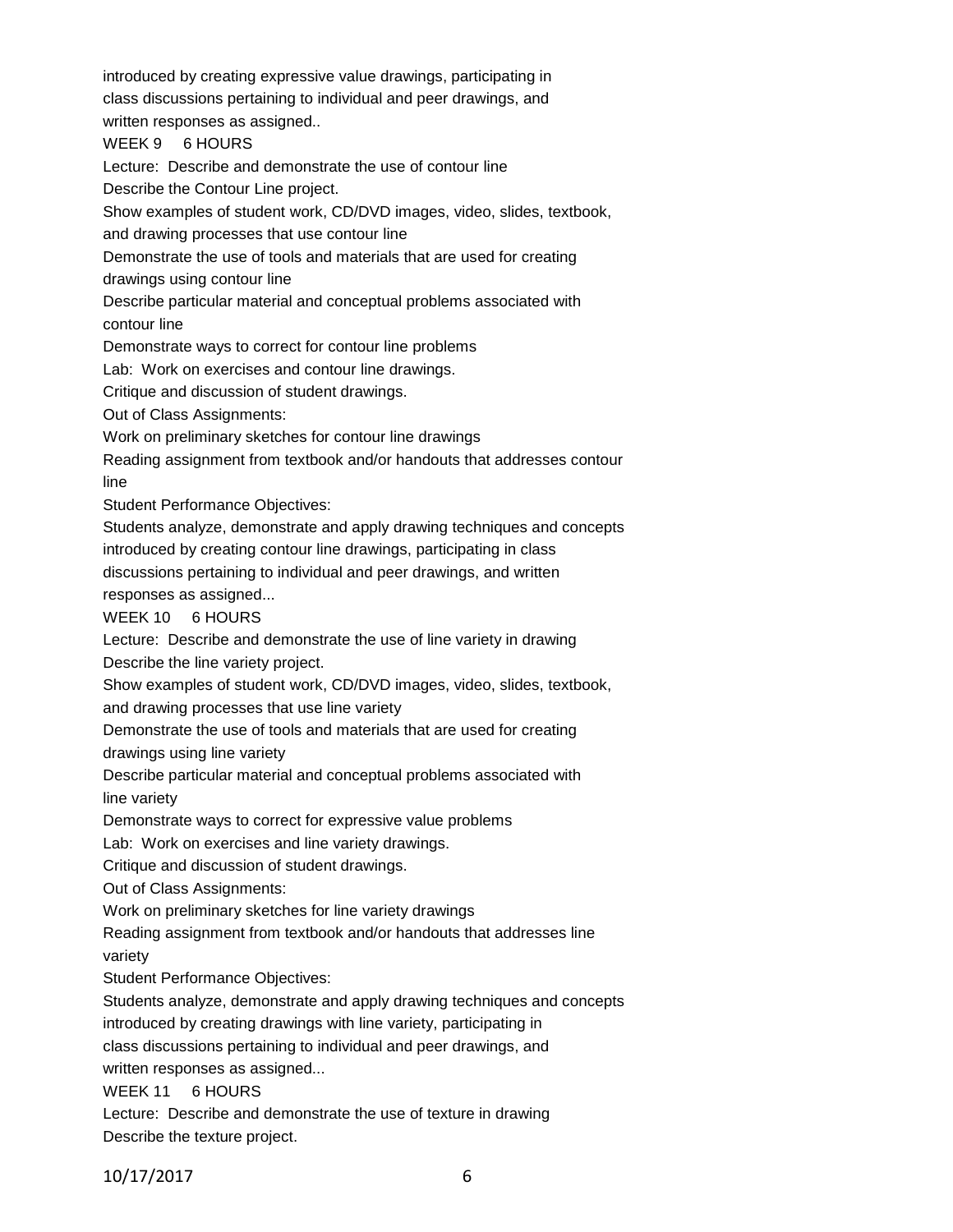introduced by creating expressive value drawings, participating in class discussions pertaining to individual and peer drawings, and

written responses as assigned..

WEEK 9 6 HOURS

Lecture: Describe and demonstrate the use of contour line

Describe the Contour Line project.

Show examples of student work, CD/DVD images, video, slides, textbook,

and drawing processes that use contour line

Demonstrate the use of tools and materials that are used for creating drawings using contour line

Describe particular material and conceptual problems associated with

contour line

Demonstrate ways to correct for contour line problems

Lab: Work on exercises and contour line drawings.

Critique and discussion of student drawings.

Out of Class Assignments:

Work on preliminary sketches for contour line drawings

Reading assignment from textbook and/or handouts that addresses contour line

Student Performance Objectives:

Students analyze, demonstrate and apply drawing techniques and concepts introduced by creating contour line drawings, participating in class

discussions pertaining to individual and peer drawings, and written

responses as assigned...

WEEK 10 6 HOURS

Lecture: Describe and demonstrate the use of line variety in drawing

Describe the line variety project.

Show examples of student work, CD/DVD images, video, slides, textbook, and drawing processes that use line variety

Demonstrate the use of tools and materials that are used for creating drawings using line variety

Describe particular material and conceptual problems associated with line variety

Demonstrate ways to correct for expressive value problems

Lab: Work on exercises and line variety drawings.

Critique and discussion of student drawings.

Out of Class Assignments:

Work on preliminary sketches for line variety drawings

Reading assignment from textbook and/or handouts that addresses line variety

Student Performance Objectives:

Students analyze, demonstrate and apply drawing techniques and concepts introduced by creating drawings with line variety, participating in class discussions pertaining to individual and peer drawings, and written responses as assigned...

WEEK 11 6 HOURS

Lecture: Describe and demonstrate the use of texture in drawing Describe the texture project.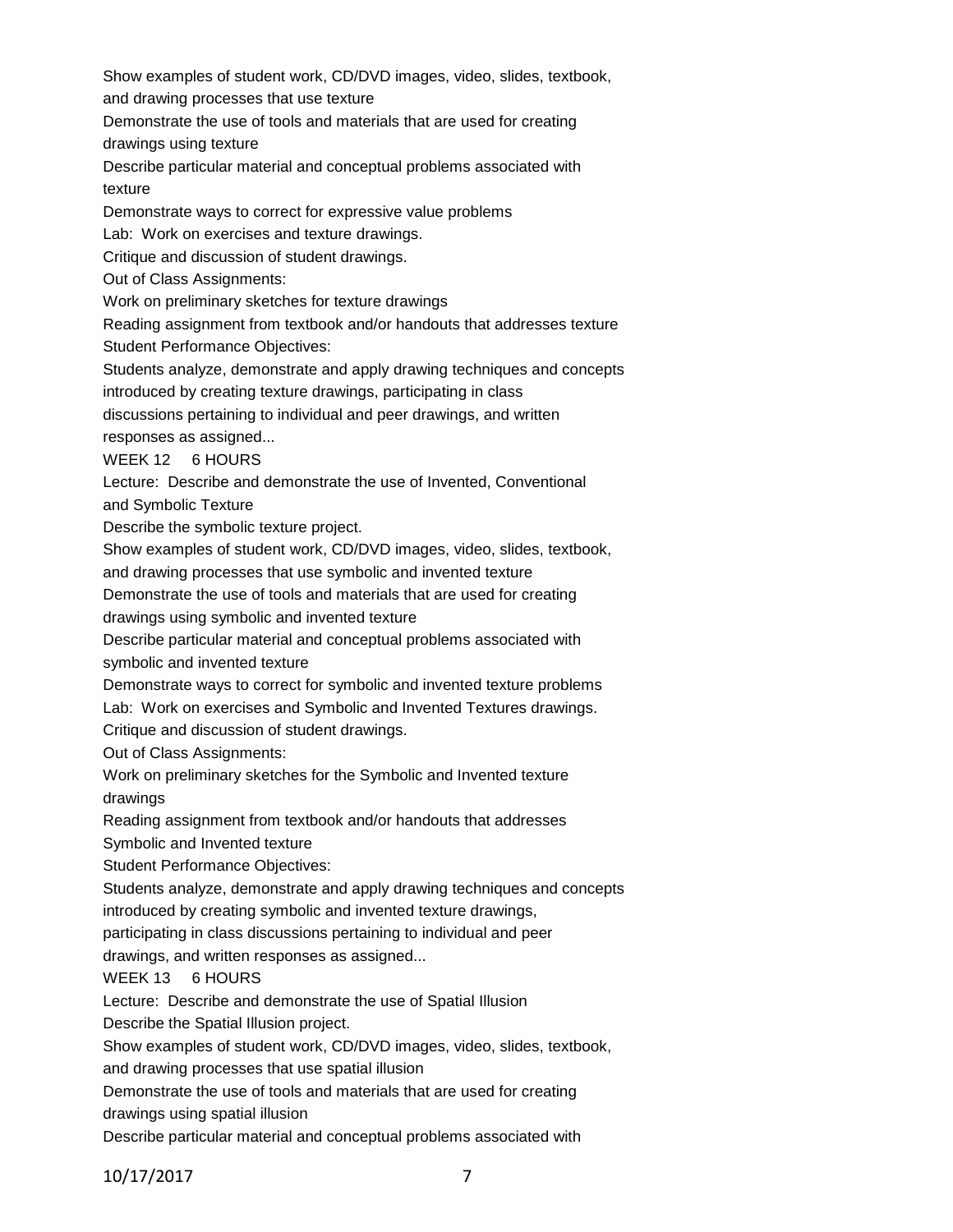Show examples of student work, CD/DVD images, video, slides, textbook,

and drawing processes that use texture

Demonstrate the use of tools and materials that are used for creating drawings using texture

Describe particular material and conceptual problems associated with texture

Demonstrate ways to correct for expressive value problems

Lab: Work on exercises and texture drawings.

Critique and discussion of student drawings.

Out of Class Assignments:

Work on preliminary sketches for texture drawings

Reading assignment from textbook and/or handouts that addresses texture Student Performance Objectives:

Students analyze, demonstrate and apply drawing techniques and concepts

introduced by creating texture drawings, participating in class

discussions pertaining to individual and peer drawings, and written responses as assigned...

WEEK 12 6 HOURS

Lecture: Describe and demonstrate the use of Invented, Conventional

and Symbolic Texture

Describe the symbolic texture project.

Show examples of student work, CD/DVD images, video, slides, textbook,

and drawing processes that use symbolic and invented texture

Demonstrate the use of tools and materials that are used for creating

drawings using symbolic and invented texture

Describe particular material and conceptual problems associated with symbolic and invented texture

Demonstrate ways to correct for symbolic and invented texture problems

Lab: Work on exercises and Symbolic and Invented Textures drawings.

Critique and discussion of student drawings.

Out of Class Assignments:

Work on preliminary sketches for the Symbolic and Invented texture drawings

Reading assignment from textbook and/or handouts that addresses

Symbolic and Invented texture

Student Performance Objectives:

Students analyze, demonstrate and apply drawing techniques and concepts introduced by creating symbolic and invented texture drawings,

participating in class discussions pertaining to individual and peer

drawings, and written responses as assigned...

# WEEK 13 6 HOURS

Lecture: Describe and demonstrate the use of Spatial Illusion

Describe the Spatial Illusion project.

Show examples of student work, CD/DVD images, video, slides, textbook,

and drawing processes that use spatial illusion

Demonstrate the use of tools and materials that are used for creating drawings using spatial illusion

Describe particular material and conceptual problems associated with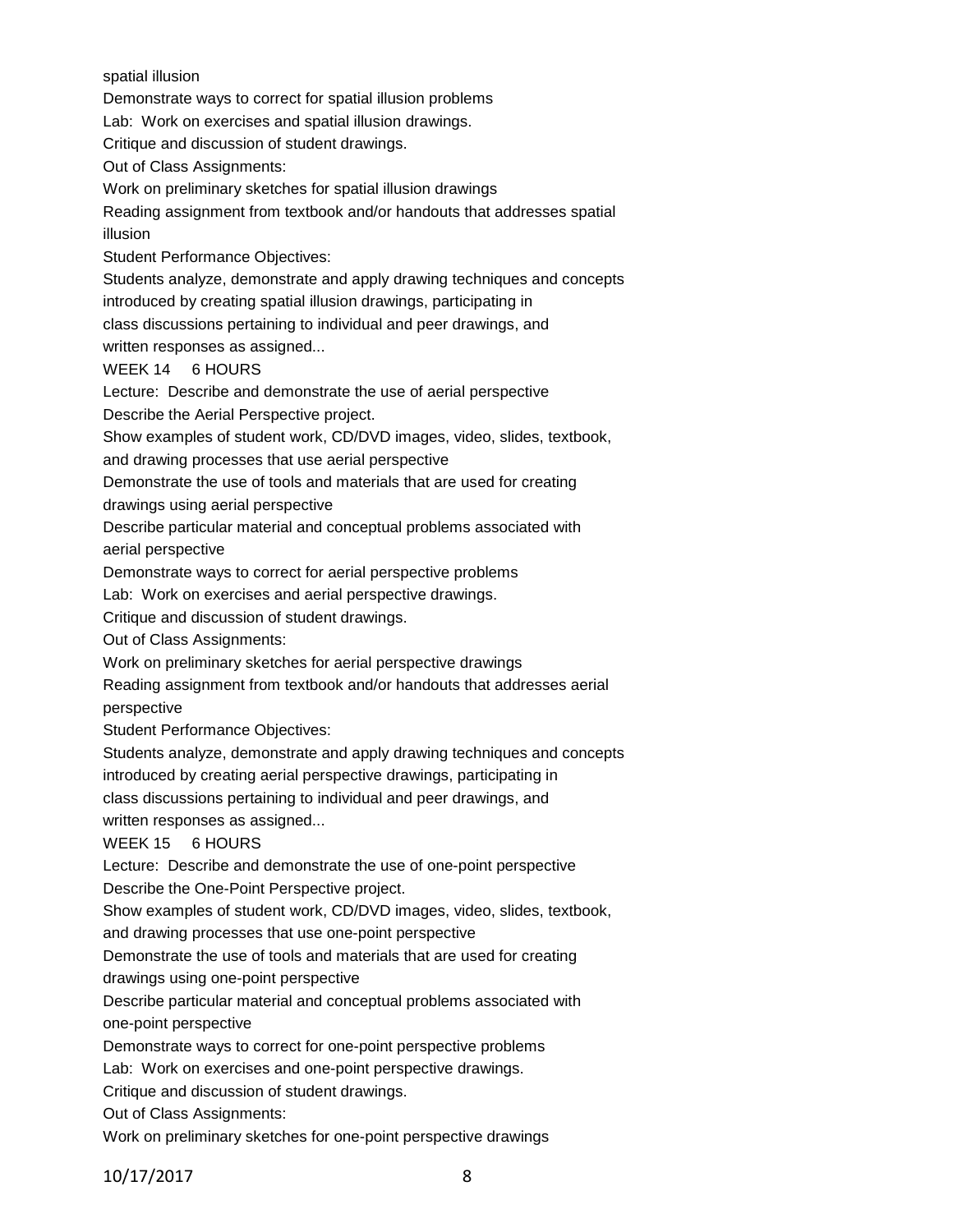spatial illusion

Demonstrate ways to correct for spatial illusion problems

Lab: Work on exercises and spatial illusion drawings.

Critique and discussion of student drawings.

Out of Class Assignments:

Work on preliminary sketches for spatial illusion drawings

Reading assignment from textbook and/or handouts that addresses spatial illusion

Student Performance Objectives:

Students analyze, demonstrate and apply drawing techniques and concepts introduced by creating spatial illusion drawings, participating in

class discussions pertaining to individual and peer drawings, and

written responses as assigned...

## WEEK 14 6 HOURS

Lecture: Describe and demonstrate the use of aerial perspective

Describe the Aerial Perspective project.

Show examples of student work, CD/DVD images, video, slides, textbook,

and drawing processes that use aerial perspective

Demonstrate the use of tools and materials that are used for creating

drawings using aerial perspective

Describe particular material and conceptual problems associated with aerial perspective

Demonstrate ways to correct for aerial perspective problems

Lab: Work on exercises and aerial perspective drawings.

Critique and discussion of student drawings.

Out of Class Assignments:

Work on preliminary sketches for aerial perspective drawings

Reading assignment from textbook and/or handouts that addresses aerial perspective

Student Performance Objectives:

Students analyze, demonstrate and apply drawing techniques and concepts

introduced by creating aerial perspective drawings, participating in

class discussions pertaining to individual and peer drawings, and

written responses as assigned...

## WEEK 15 6 HOURS

Lecture: Describe and demonstrate the use of one-point perspective Describe the One-Point Perspective project.

Show examples of student work, CD/DVD images, video, slides, textbook,

and drawing processes that use one-point perspective

Demonstrate the use of tools and materials that are used for creating

drawings using one-point perspective

Describe particular material and conceptual problems associated with one-point perspective

Demonstrate ways to correct for one-point perspective problems

Lab: Work on exercises and one-point perspective drawings.

Critique and discussion of student drawings.

Out of Class Assignments:

Work on preliminary sketches for one-point perspective drawings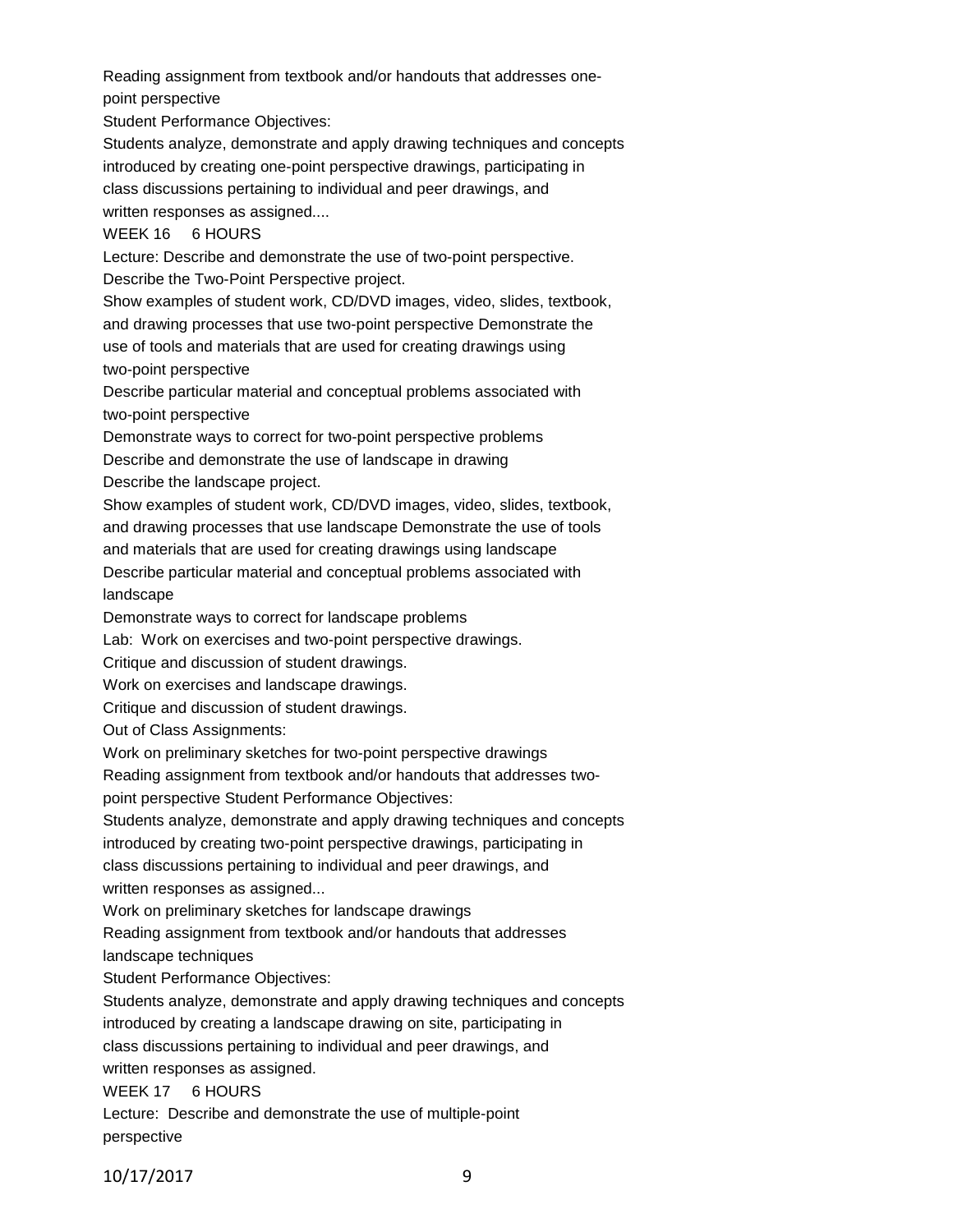Reading assignment from textbook and/or handouts that addresses onepoint perspective

Student Performance Objectives:

Students analyze, demonstrate and apply drawing techniques and concepts introduced by creating one-point perspective drawings, participating in class discussions pertaining to individual and peer drawings, and written responses as assigned....

## WEEK 16 6 HOURS

Lecture: Describe and demonstrate the use of two-point perspective. Describe the Two-Point Perspective project.

Show examples of student work, CD/DVD images, video, slides, textbook, and drawing processes that use two-point perspective Demonstrate the use of tools and materials that are used for creating drawings using two-point perspective

Describe particular material and conceptual problems associated with two-point perspective

Demonstrate ways to correct for two-point perspective problems

Describe and demonstrate the use of landscape in drawing

Describe the landscape project.

Show examples of student work, CD/DVD images, video, slides, textbook,

and drawing processes that use landscape Demonstrate the use of tools

and materials that are used for creating drawings using landscape

Describe particular material and conceptual problems associated with landscape

Demonstrate ways to correct for landscape problems

Lab: Work on exercises and two-point perspective drawings.

Critique and discussion of student drawings.

Work on exercises and landscape drawings.

Critique and discussion of student drawings.

Out of Class Assignments:

Work on preliminary sketches for two-point perspective drawings

Reading assignment from textbook and/or handouts that addresses two-

point perspective Student Performance Objectives:

Students analyze, demonstrate and apply drawing techniques and concepts

introduced by creating two-point perspective drawings, participating in

class discussions pertaining to individual and peer drawings, and written responses as assigned...

Work on preliminary sketches for landscape drawings

Reading assignment from textbook and/or handouts that addresses

landscape techniques

Student Performance Objectives:

Students analyze, demonstrate and apply drawing techniques and concepts introduced by creating a landscape drawing on site, participating in class discussions pertaining to individual and peer drawings, and written responses as assigned.

WEEK 17 6 HOURS

Lecture: Describe and demonstrate the use of multiple-point perspective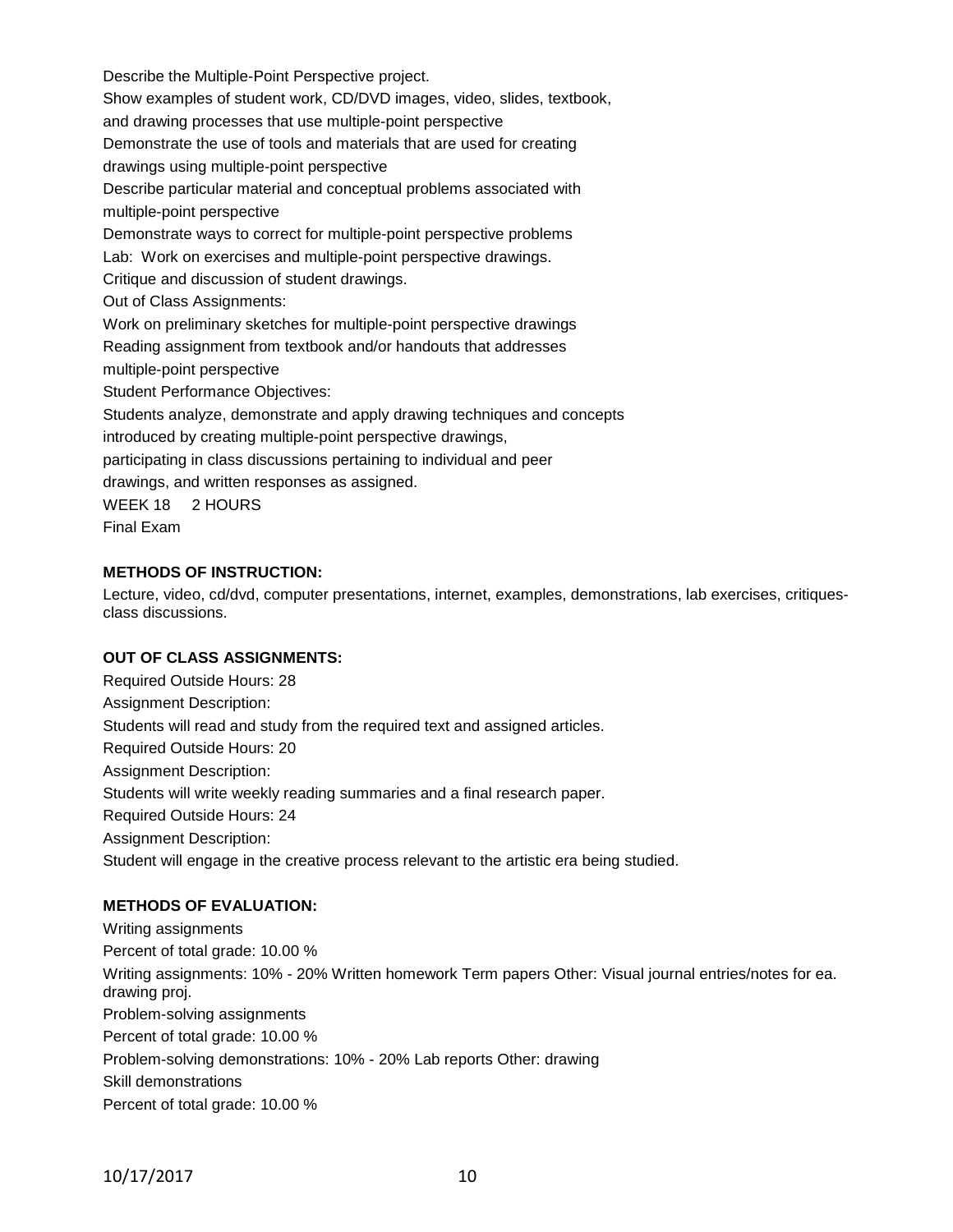Describe the Multiple-Point Perspective project. Show examples of student work, CD/DVD images, video, slides, textbook, and drawing processes that use multiple-point perspective Demonstrate the use of tools and materials that are used for creating drawings using multiple-point perspective Describe particular material and conceptual problems associated with multiple-point perspective Demonstrate ways to correct for multiple-point perspective problems Lab: Work on exercises and multiple-point perspective drawings. Critique and discussion of student drawings. Out of Class Assignments: Work on preliminary sketches for multiple-point perspective drawings Reading assignment from textbook and/or handouts that addresses multiple-point perspective Student Performance Objectives: Students analyze, demonstrate and apply drawing techniques and concepts introduced by creating multiple-point perspective drawings, participating in class discussions pertaining to individual and peer drawings, and written responses as assigned. WEEK 18 2 HOURS Final Exam

## **METHODS OF INSTRUCTION:**

Lecture, video, cd/dvd, computer presentations, internet, examples, demonstrations, lab exercises, critiquesclass discussions.

#### **OUT OF CLASS ASSIGNMENTS:**

Required Outside Hours: 28 Assignment Description: Students will read and study from the required text and assigned articles. Required Outside Hours: 20 Assignment Description: Students will write weekly reading summaries and a final research paper. Required Outside Hours: 24 Assignment Description: Student will engage in the creative process relevant to the artistic era being studied.

#### **METHODS OF EVALUATION:**

Writing assignments Percent of total grade: 10.00 % Writing assignments: 10% - 20% Written homework Term papers Other: Visual journal entries/notes for ea. drawing proj. Problem-solving assignments Percent of total grade: 10.00 % Problem-solving demonstrations: 10% - 20% Lab reports Other: drawing Skill demonstrations Percent of total grade: 10.00 %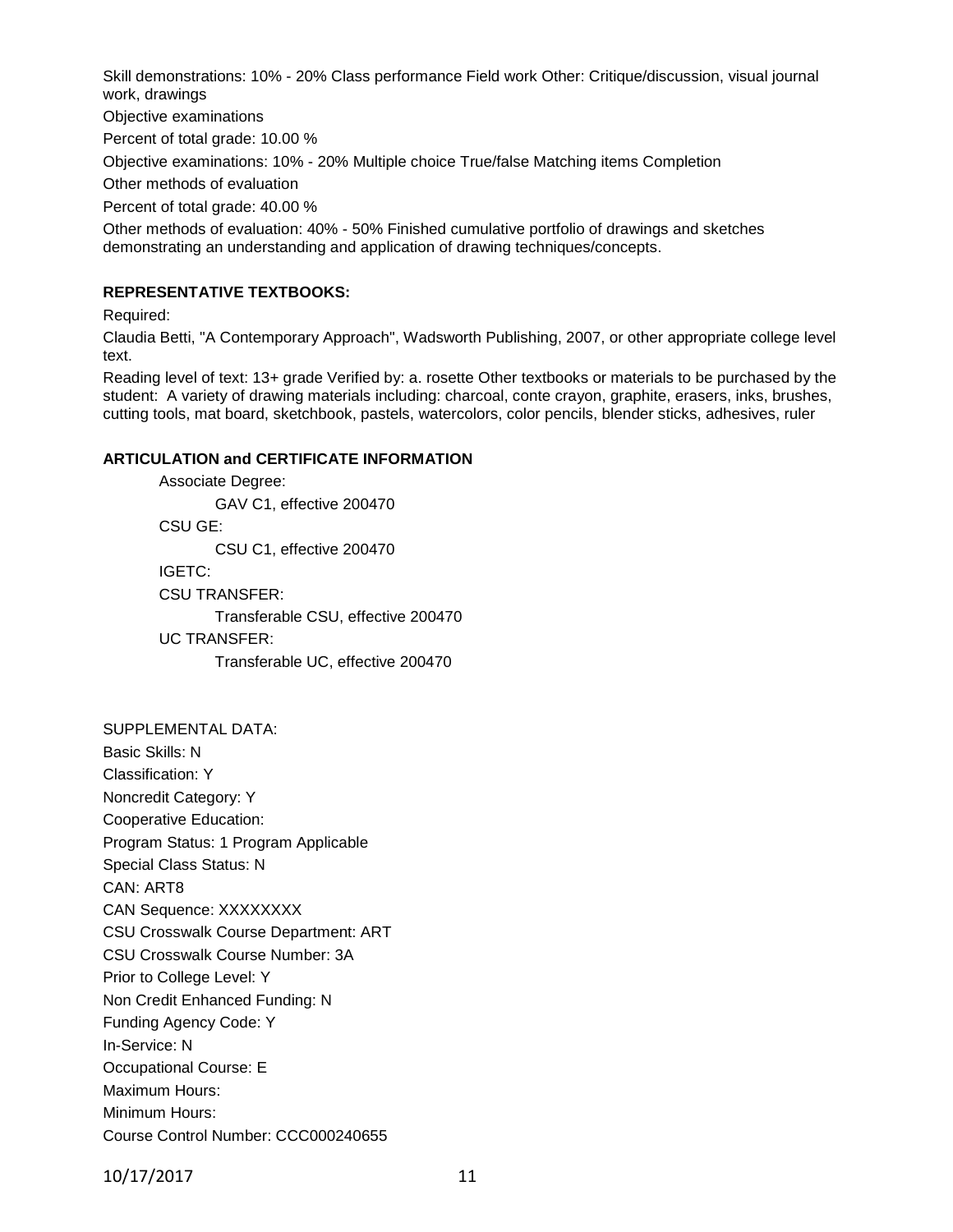Skill demonstrations: 10% - 20% Class performance Field work Other: Critique/discussion, visual journal work, drawings

Objective examinations

Percent of total grade: 10.00 %

Objective examinations: 10% - 20% Multiple choice True/false Matching items Completion

Other methods of evaluation

Percent of total grade: 40.00 %

Other methods of evaluation: 40% - 50% Finished cumulative portfolio of drawings and sketches demonstrating an understanding and application of drawing techniques/concepts.

#### **REPRESENTATIVE TEXTBOOKS:**

Required:

Claudia Betti, "A Contemporary Approach", Wadsworth Publishing, 2007, or other appropriate college level text.

Reading level of text: 13+ grade Verified by: a. rosette Other textbooks or materials to be purchased by the student: A variety of drawing materials including: charcoal, conte crayon, graphite, erasers, inks, brushes, cutting tools, mat board, sketchbook, pastels, watercolors, color pencils, blender sticks, adhesives, ruler

#### **ARTICULATION and CERTIFICATE INFORMATION**

Associate Degree: GAV C1, effective 200470 CSU GE: CSU C1, effective 200470 IGETC: CSU TRANSFER: Transferable CSU, effective 200470 UC TRANSFER: Transferable UC, effective 200470

SUPPLEMENTAL DATA: Basic Skills: N Classification: Y Noncredit Category: Y Cooperative Education: Program Status: 1 Program Applicable Special Class Status: N CAN: ART8 CAN Sequence: XXXXXXXX CSU Crosswalk Course Department: ART CSU Crosswalk Course Number: 3A Prior to College Level: Y Non Credit Enhanced Funding: N Funding Agency Code: Y In-Service: N Occupational Course: E Maximum Hours: Minimum Hours: Course Control Number: CCC000240655